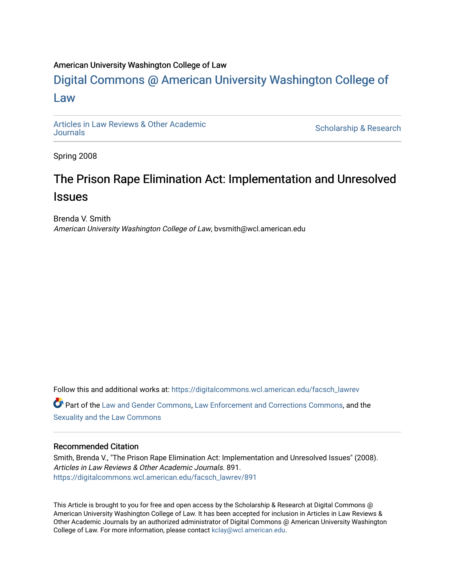## American University Washington College of Law

## [Digital Commons @ American University Washington College of](https://digitalcommons.wcl.american.edu/)  [Law](https://digitalcommons.wcl.american.edu/)

[Articles in Law Reviews & Other Academic](https://digitalcommons.wcl.american.edu/facsch_lawrev) 

Scholarship & Research

Spring 2008

# The Prison Rape Elimination Act: Implementation and Unresolved **Issues**

Brenda V. Smith American University Washington College of Law, bvsmith@wcl.american.edu

Follow this and additional works at: [https://digitalcommons.wcl.american.edu/facsch\\_lawrev](https://digitalcommons.wcl.american.edu/facsch_lawrev?utm_source=digitalcommons.wcl.american.edu%2Ffacsch_lawrev%2F891&utm_medium=PDF&utm_campaign=PDFCoverPages) 

Part of the [Law and Gender Commons,](http://network.bepress.com/hgg/discipline/1298?utm_source=digitalcommons.wcl.american.edu%2Ffacsch_lawrev%2F891&utm_medium=PDF&utm_campaign=PDFCoverPages) [Law Enforcement and Corrections Commons,](http://network.bepress.com/hgg/discipline/854?utm_source=digitalcommons.wcl.american.edu%2Ffacsch_lawrev%2F891&utm_medium=PDF&utm_campaign=PDFCoverPages) and the [Sexuality and the Law Commons](http://network.bepress.com/hgg/discipline/877?utm_source=digitalcommons.wcl.american.edu%2Ffacsch_lawrev%2F891&utm_medium=PDF&utm_campaign=PDFCoverPages) 

## Recommended Citation

Smith, Brenda V., "The Prison Rape Elimination Act: Implementation and Unresolved Issues" (2008). Articles in Law Reviews & Other Academic Journals. 891. [https://digitalcommons.wcl.american.edu/facsch\\_lawrev/891](https://digitalcommons.wcl.american.edu/facsch_lawrev/891?utm_source=digitalcommons.wcl.american.edu%2Ffacsch_lawrev%2F891&utm_medium=PDF&utm_campaign=PDFCoverPages) 

This Article is brought to you for free and open access by the Scholarship & Research at Digital Commons @ American University Washington College of Law. It has been accepted for inclusion in Articles in Law Reviews & Other Academic Journals by an authorized administrator of Digital Commons @ American University Washington College of Law. For more information, please contact [kclay@wcl.american.edu](mailto:kclay@wcl.american.edu).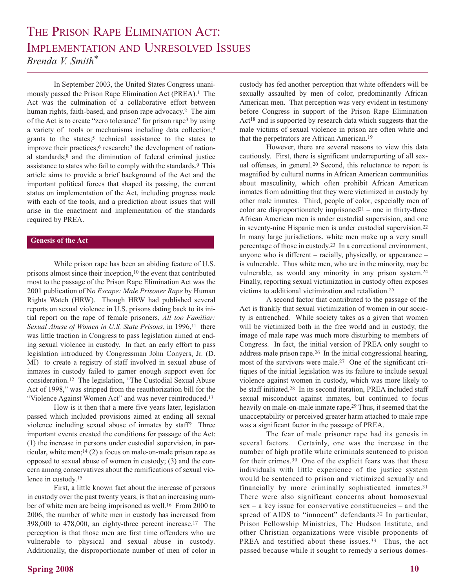## THE PRISON RAPE ELIMINATION ACT: IMPLEMENTATION AND UNRESOLVED ISSUES *Brenda V. Smith\**

In September 2003, the United States Congress unanimously passed the Prison Rape Elimination Act (PREA).1 The Act was the culmination of a collaborative effort between human rights, faith-based, and prison rape advocacy.<sup>2</sup> The aim of the Act is to create "zero tolerance" for prison rape3 by using a variety of tools or mechanisms including data collection;4 grants to the states;<sup>5</sup> technical assistance to the states to improve their practices;<sup>6</sup> research;<sup>7</sup> the development of national standards;8 and the diminution of federal criminal justice assistance to states who fail to comply with the standards.9 This article aims to provide a brief background of the Act and the important political forces that shaped its passing, the current status on implementation of the Act, including progress made with each of the tools, and a prediction about issues that will arise in the enactment and implementation of the standards required by PREA.

### **Genesis of the Act**

While prison rape has been an abiding feature of U.S. prisons almost since their inception,<sup>10</sup> the event that contributed most to the passage of the Prison Rape Elimination Act was the 2001 publication of N*o Escape: Male Prisoner Rape* by Human Rights Watch (HRW). Though HRW had published several reports on sexual violence in U.S. prisons dating back to its initial report on the rape of female prisoners, *All too Familiar:* Sexual Abuse of Women in U.S. State Prisons, in 1996,<sup>11</sup> there was little traction in Congress to pass legislation aimed at ending sexual violence in custody. In fact, an early effort to pass legislation introduced by Congressman John Conyers, Jr. (D. MI) to create a registry of staff involved in sexual abuse of inmates in custody failed to garner enough support even for consideration.12 The legislation, "The Custodial Sexual Abuse Act of 1998," was stripped from the reauthorization bill for the "Violence Against Women Act" and was never reintroduced.13

How is it then that a mere five years later, legislation passed which included provisions aimed at ending all sexual violence including sexual abuse of inmates by staff? Three important events created the conditions for passage of the Act: (1) the increase in persons under custodial supervision, in particular, white men; $14$  (2) a focus on male-on-male prison rape as opposed to sexual abuse of women in custody; (3) and the concern among conservatives about the ramifications of sexual violence in custody.15

First, a little known fact about the increase of persons in custody over the past twenty years, is that an increasing number of white men are being imprisoned as well.<sup>16</sup> From 2000 to 2006, the number of white men in custody has increased from 398,000 to 478,000, an eighty-three percent increase.17 The perception is that those men are first time offenders who are vulnerable to physical and sexual abuse in custody. Additionally, the disproportionate number of men of color in custody has fed another perception that white offenders will be sexually assaulted by men of color, predominantly African American men. That perception was very evident in testimony before Congress in support of the Prison Rape Elimination Act18 and is supported by research data which suggests that the male victims of sexual violence in prison are often white and that the perpetrators are African American.19

However, there are several reasons to view this data cautiously. First, there is significant underreporting of all sexual offenses, in general.20 Second, this reluctance to report is magnified by cultural norms in African American communities about masculinity, which often prohibit African American inmates from admitting that they were victimized in custody by other male inmates. Third, people of color, especially men of color are disproportionately imprisoned<sup>21</sup> – one in thirty-three African American men is under custodial supervision, and one in seventy-nine Hispanic men is under custodial supervision.22 In many large jurisdictions, white men make up a very small percentage of those in custody.23 In a correctional environment, anyone who is different – racially, physically, or appearance – is vulnerable. Thus white men, who are in the minority, may be vulnerable, as would any minority in any prison system.24 Finally, reporting sexual victimization in custody often exposes victims to additional victimization and retaliation.25

A second factor that contributed to the passage of the Act is frankly that sexual victimization of women in our society is entrenched. While society takes as a given that women will be victimized both in the free world and in custody, the image of male rape was much more disturbing to members of Congress. In fact, the initial version of PREA only sought to address male prison rape.26 In the initial congressional hearing, most of the survivors were male.<sup>27</sup> One of the significant critiques of the initial legislation was its failure to include sexual violence against women in custody, which was more likely to be staff initiated.28 In its second iteration, PREA included staff sexual misconduct against inmates, but continued to focus heavily on male-on-male inmate rape.29 Thus, it seemed that the unacceptability or perceived greater harm attached to male rape was a significant factor in the passage of PREA.

The fear of male prisoner rape had its genesis in several factors. Certainly, one was the increase in the number of high profile white criminals sentenced to prison for their crimes.30 One of the explicit fears was that these individuals with little experience of the justice system would be sentenced to prison and victimized sexually and financially by more criminally sophisticated inmates.31 There were also significant concerns about homosexual sex – a key issue for conservative constituencies – and the spread of AIDS to "innocent" defendants.<sup>32</sup> In particular, Prison Fellowship Ministries, The Hudson Institute, and other Christian organizations were visible proponents of PREA and testified about these issues.<sup>33</sup> Thus, the act passed because while it sought to remedy a serious domes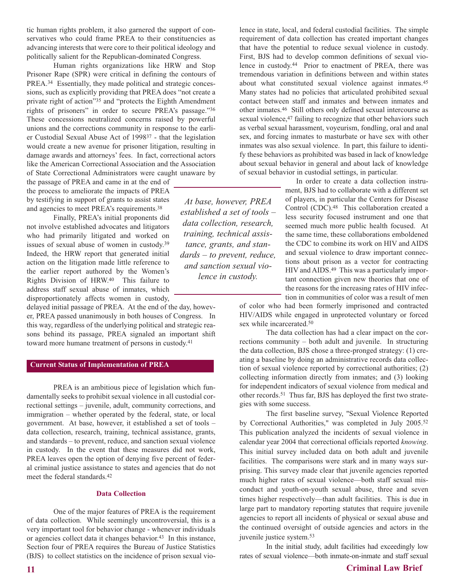tic human rights problem, it also garnered the support of conservatives who could frame PREA to their constituencies as advancing interests that were core to their political ideology and politically salient for the Republican-dominated Congress.

Human rights organizations like HRW and Stop Prisoner Rape (SPR) were critical in defining the contours of PREA.<sup>34</sup> Essentially, they made political and strategic concessions, such as explicitly providing that PREA does "not create a private right of action"35 and "protects the Eighth Amendment rights of prisoners" in order to secure PREA's passage."36 These concessions neutralized concerns raised by powerful unions and the corrections community in response to the earlier Custodial Sexual Abuse Act of 199837 - that the legislation would create a new avenue for prisoner litigation, resulting in damage awards and attorneys' fees. In fact, correctional actors like the American Correctional Association and the Association of State Correctional Administrators were caught unaware by

the passage of PREA and came in at the end of the process to ameliorate the impacts of PREA by testifying in support of grants to assist states and agencies to meet PREA's requirements.38

Finally, PREA's initial proponents did not involve established advocates and litigators who had primarily litigated and worked on issues of sexual abuse of women in custody.39 Indeed, the HRW report that generated initial action on the litigation made little reference to the earlier report authored by the Women's Rights Division of HRW.40 This failure to address staff sexual abuse of inmates, which disproportionately affects women in custody,

delayed initial passage of PREA. At the end of the day, however, PREA passed unanimously in both houses of Congress. In this way, regardless of the underlying political and strategic reasons behind its passage, PREA signaled an important shift toward more humane treatment of persons in custody.41

## **Current Status of Implementation of PREA**

PREA is an ambitious piece of legislation which fundamentally seeks to prohibit sexual violence in all custodial correctional settings – juvenile, adult, community corrections, and immigration – whether operated by the federal, state, or local government. At base, however, it established a set of tools – data collection, research, training, technical assistance, grants, and standards – to prevent, reduce, and sanction sexual violence in custody. In the event that these measures did not work, PREA leaves open the option of denying five percent of federal criminal justice assistance to states and agencies that do not meet the federal standards.42

#### **Data Collection**

One of the major features of PREA is the requirement of data collection. While seemingly uncontroversial, this is a very important tool for behavior change - whenever individuals or agencies collect data it changes behavior.<sup>43</sup> In this instance, Section four of PREA requires the Bureau of Justice Statistics (BJS) to collect statistics on the incidence of prison sexual vio-

of sexual behavior in custodial settings, in particular. *At base, however, PREA established a set of tools – data collection, research, training, technical assistance, grants, and standards – to prevent, reduce, and sanction sexual vio-*

tant connection given new theories that one of the reasons for the increasing rates of HIV infection in communities of color was a result of men *lence in custody.*

of color who had been formerly imprisoned and contracted HIV/AIDS while engaged in unprotected voluntary or forced sex while incarcerated.50

In order to create a data collection instrument, BJS had to collaborate with a different set of players, in particular the Centers for Disease Control (CDC).48 This collaboration created a less security focused instrument and one that seemed much more public health focused. At the same time, these collaborations emboldened the CDC to combine its work on HIV and AIDS and sexual violence to draw important connections about prison as a vector for contracting HIV and AIDS.49 This was a particularly impor-

lence in state, local, and federal custodial facilities. The simple requirement of data collection has created important changes that have the potential to reduce sexual violence in custody. First, BJS had to develop common definitions of sexual violence in custody.44 Prior to enactment of PREA, there was tremendous variation in definitions between and within states about what constituted sexual violence against inmates.45 Many states had no policies that articulated prohibited sexual contact between staff and inmates and between inmates and other inmates.46 Still others only defined sexual intercourse as sexual violence,<sup>47</sup> failing to recognize that other behaviors such as verbal sexual harassment, voyeurism, fondling, oral and anal sex, and forcing inmates to masturbate or have sex with other inmates was also sexual violence. In part, this failure to identify these behaviors as prohibited was based in lack of knowledge about sexual behavior in general and about lack of knowledge

The data collection has had a clear impact on the corrections community – both adult and juvenile. In structuring the data collection, BJS chose a three-pronged strategy: (1) creating a baseline by doing an administrative records data collection of sexual violence reported by correctional authorities; (2) collecting information directly from inmates; and (3) looking for independent indicators of sexual violence from medical and other records.51 Thus far, BJS has deployed the first two strategies with some success.

The first baseline survey, "Sexual Violence Reported by Correctional Authorities," was completed in July 2005.52 This publication analyzed the incidents of sexual violence in calendar year 2004 that correctional officials reported *knowing*. This initial survey included data on both adult and juvenile facilities. The comparisons were stark and in many ways surprising. This survey made clear that juvenile agencies reported much higher rates of sexual violence—both staff sexual misconduct and youth-on-youth sexual abuse, three and seven times higher respectively—than adult facilities. This is due in large part to mandatory reporting statutes that require juvenile agencies to report all incidents of physical or sexual abuse and the continued oversight of outside agencies and actors in the juvenile justice system.53

In the initial study, adult facilities had exceedingly low rates of sexual violence—both inmate-on-inmate and staff sexual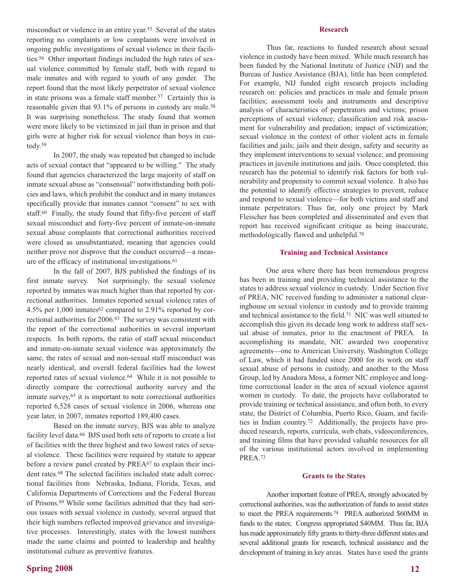misconduct or violence in an entire year.55 Several of the states reporting no complaints or low complaints were involved in ongoing public investigations of sexual violence in their facilities.56 Other important findings included the high rates of sexual violence committed by female staff, both with regard to male inmates and with regard to youth of any gender. The report found that the most likely perpetrator of sexual violence in state prisons was a female staff member.57 Certainly this is reasonable given that 93.1% of persons in custody are male.58 It was surprising nonetheless. The study found that women were more likely to be victimized in jail than in prison and that girls were at higher risk for sexual violence than boys in custody.59

In 2007, the study was repeated but changed to include acts of sexual contact that "appeared to be willing." The study found that agencies characterized the large majority of staff on inmate sexual abuse as "consensual" notwithstanding both policies and laws, which prohibit the conduct and in many instances specifically provide that inmates cannot "consent" to sex with staff.60 Finally, the study found that fifty-five percent of staff sexual misconduct and forty-five percent of inmate-on-inmate sexual abuse complaints that correctional authorities received were closed as unsubstantiated, meaning that agencies could neither prove nor disprove that the conduct occurred—a measure of the efficacy of institutional investigations.61

In the fall of 2007, BJS published the findings of its first inmate survey. Not surprisingly, the sexual violence reported by inmates was much higher than that reported by correctional authorities. Inmates reported sexual violence rates of 4.5% per 1,000 inmates62 compared to 2.91% reported by correctional authorities for 2006.63 The survey was consistent with the report of the correctional authorities in several important respects. In both reports, the ratio of staff sexual misconduct and inmate-on-inmate sexual violence was approximately the same, the rates of sexual and non-sexual staff misconduct was nearly identical, and overall federal facilities had the lowest reported rates of sexual violence.64 While it is not possible to directly compare the correctional authority survey and the inmate survey,65 it is important to note correctional authorities reported 6,528 cases of sexual violence in 2006, whereas one year later, in 2007, inmates reported 189,400 cases.

Based on the inmate survey, BJS was able to analyze facility level data.66 BJS used both sets of reports to create a list of facilities with the three highest and two lowest rates of sexual violence. These facilities were required by statute to appear before a review panel created by PREA<sup>67</sup> to explain their incident rates.68 The selected facilities included state adult correctional facilities from Nebraska, Indiana, Florida, Texas, and California Departments of Corrections and the Federal Bureau of Prisons.69 While some facilities admitted that they had serious issues with sexual violence in custody, several argued that their high numbers reflected improved grievance and investigative processes. Interestingly, states with the lowest numbers made the same claims and pointed to leadership and healthy institutional culture as preventive features.

## **Spring 2008**

#### **Research**

Thus far, reactions to funded research about sexual violence in custody have been mixed. While much research has been funded by the National Institute of Justice (NIJ) and the Bureau of Justice Assistance (BJA), little has been completed. For example, NIJ funded eight research projects including research on: policies and practices in male and female prison facilities; assessment tools and instruments and descriptive analysis of characteristics of perpetrators and victims; prison perceptions of sexual violence; classification and risk assessment for vulnerability and predation; impact of victimization; sexual violence in the context of other violent acts in female facilities and jails; jails and their design, safety and security as they implement interventions to sexual violence; and promising practices in juvenile institutions and jails. Once completed, this research has the potential to identify risk factors for both vulnerability and propensity to commit sexual violence. It also has the potential to identify effective strategies to prevent, reduce and respond to sexual violence—for both victims and staff and inmate perpetrators. Thus far, only one project by Mark Fleischer has been completed and disseminated and even that report has received significant critique as being inaccurate, methodologically flawed and unhelpful.70

### **Training and Technical Assistance**

One area where there has been tremendous progress has been in training and providing technical assistance to the states to address sexual violence in custody. Under Section five of PREA, NIC received funding to administer a national clearinghouse on sexual violence in custody and to provide training and technical assistance to the field.71 NIC was well situated to accomplish this given its decade long work to address staff sexual abuse of inmates, prior to the enactment of PREA. In accomplishing its mandate, NIC awarded two cooperative agreements—one to American University, Washington College of Law, which it had funded since 2000 for its work on staff sexual abuse of persons in custody, and another to the Moss Group, led by Anadora Moss, a former NIC employee and longtime correctional leader in the area of sexual violence against women in custody. To date, the projects have collaborated to provide training or technical assistance, and often both, to every state, the District of Columbia, Puerto Rico, Guam, and facilities in Indian country.72 Additionally, the projects have produced research, reports, curricula, web chats, videoconferences, and training films that have provided valuable resources for all of the various institutional actors involved in implementing PREA.73

#### **Grants to the States**

Another important feature of PREA, strongly advocated by correctional authorities, was the authorization of funds to assist states to meet the PREA requirements.74 PREA authorized \$60MM in funds to the states; Congress appropriated \$40MM. Thus far, BJA has made approximately fifty grants to thirty-three different states and several additional grants for research, technical assistance and the development of training in key areas. States have used the grants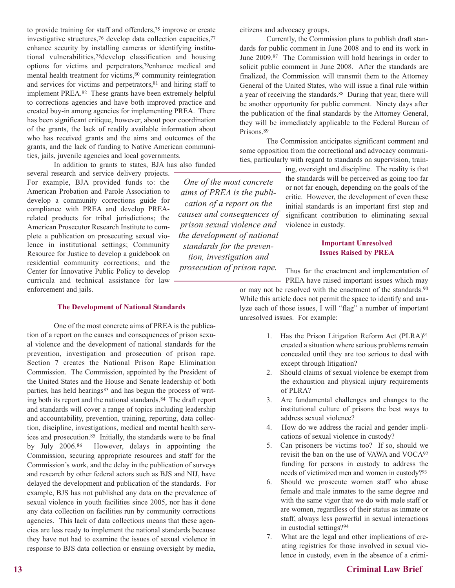to provide training for staff and offenders,75 improve or create investigative structures,76 develop data collection capacities,77 enhance security by installing cameras or identifying institutional vulnerabilities,78develop classification and housing options for victims and perpetrators,79enhance medical and mental health treatment for victims,<sup>80</sup> community reintegration and services for victims and perpetrators, <sup>81</sup> and hiring staff to implement PREA.82 These grants have been extremely helpful to corrections agencies and have both improved practice and created buy-in among agencies for implementing PREA. There has been significant critique, however, about poor coordination of the grants, the lack of readily available information about who has received grants and the aims and outcomes of the grants, and the lack of funding to Native American communities, jails, juvenile agencies and local governments.

In addition to grants to states, BJA has also funded

several research and service delivery projects. For example, BJA provided funds to: the American Probation and Parole Association to develop a community corrections guide for compliance with PREA and develop PREArelated products for tribal jurisdictions; the American Prosecutor Research Institute to complete a publication on prosecuting sexual violence in institutional settings; Community Resource for Justice to develop a guidebook on residential community corrections; and the Center for Innovative Public Policy to develop curricula and technical assistance for law enforcement and jails.

#### **The Development of National Standards**

One of the most concrete aims of PREA is the publication of a report on the causes and consequences of prison sexual violence and the development of national standards for the prevention, investigation and prosecution of prison rape. Section 7 creates the National Prison Rape Elimination Commission. The Commission, appointed by the President of the United States and the House and Senate leadership of both parties, has held hearings<sup>83</sup> and has begun the process of writing both its report and the national standards.84 The draft report and standards will cover a range of topics including leadership and accountability, prevention, training, reporting, data collection, discipline, investigations, medical and mental health services and prosecution.85 Initially, the standards were to be final by July 2006.86 However, delays in appointing the Commission, securing appropriate resources and staff for the Commission's work, and the delay in the publication of surveys and research by other federal actors such as BJS and NIJ, have delayed the development and publication of the standards. For example, BJS has not published any data on the prevalence of sexual violence in youth facilities since 2005, nor has it done any data collection on facilities run by community corrections agencies. This lack of data collections means that these agencies are less ready to implement the national standards because they have not had to examine the issues of sexual violence in response to BJS data collection or ensuing oversight by media,

citizens and advocacy groups.

*One of the most concrete aims of PREA is the publication of a report on the causes and consequences of prison sexual violence and the development of national standards for the prevention, investigation and prosecution of prison rape.* 

Currently, the Commission plans to publish draft standards for public comment in June 2008 and to end its work in June 2009.87 The Commission will hold hearings in order to solicit public comment in June 2008. After the standards are finalized, the Commission will transmit them to the Attorney General of the United States, who will issue a final rule within a year of receiving the standards.<sup>88</sup> During that year, there will be another opportunity for public comment. Ninety days after the publication of the final standards by the Attorney General, they will be immediately applicable to the Federal Bureau of Prisons.89

The Commission anticipates significant comment and some opposition from the correctional and advocacy communities, particularly with regard to standards on supervision, train-

> ing, oversight and discipline. The reality is that the standards will be perceived as going too far or not far enough, depending on the goals of the critic. However, the development of even these initial standards is an important first step and significant contribution to eliminating sexual violence in custody.

## **Important Unresolved Issues Raised by PREA**

Thus far the enactment and implementation of PREA have raised important issues which may

or may not be resolved with the enactment of the standards.90 While this article does not permit the space to identify and analyze each of those issues, I will "flag" a number of important unresolved issues. For example:

- 1. Has the Prison Litigation Reform Act (PLRA)91 created a situation where serious problems remain concealed until they are too serious to deal with except through litigation?
- 2. Should claims of sexual violence be exempt from the exhaustion and physical injury requirements of PLRA?
- 3. Are fundamental challenges and changes to the institutional culture of prisons the best ways to address sexual violence?
- 4. How do we address the racial and gender implications of sexual violence in custody?
- 5. Can prisoners be victims too? If so, should we revisit the ban on the use of VAWA and VOCA92 funding for persons in custody to address the needs of victimized men and women in custody?93
- 6. Should we prosecute women staff who abuse female and male inmates to the same degree and with the same vigor that we do with male staff or are women, regardless of their status as inmate or staff, always less powerful in sexual interactions in custodial settings?94
- 7. What are the legal and other implications of creating registries for those involved in sexual violence in custody, even in the absence of a crimi-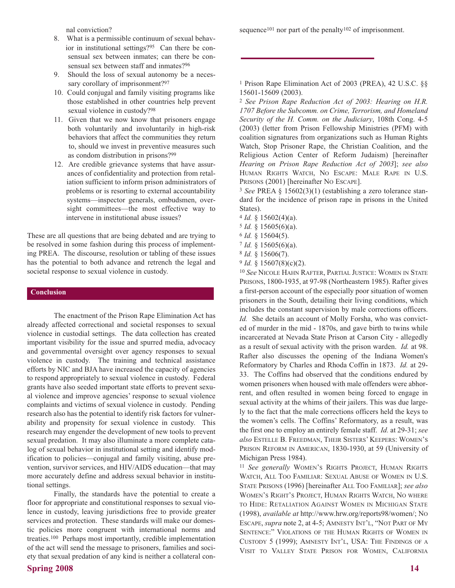nal conviction?

- 8. What is a permissible continuum of sexual behavior in institutional settings?95 Can there be consensual sex between inmates; can there be consensual sex between staff and inmates?96
- 9. Should the loss of sexual autonomy be a necessary corollary of imprisonment?<sup>97</sup>
- 10. Could conjugal and family visiting programs like those established in other countries help prevent sexual violence in custody?98
- 11. Given that we now know that prisoners engage both voluntarily and involuntarily in high-risk behaviors that affect the communities they return to, should we invest in preventive measures such as condom distribution in prisons?99
- 12. Are credible grievance systems that have assurances of confidentiality and protection from retaliation sufficient to inform prison administrators of problems or is resorting to external accountability systems—inspector generals, ombudsmen, oversight committees—the most effective way to intervene in institutional abuse issues?

These are all questions that are being debated and are trying to be resolved in some fashion during this process of implementing PREA. The discourse, resolution or tabling of these issues has the potential to both advance and retrench the legal and societal response to sexual violence in custody.

#### **Conclusion**

The enactment of the Prison Rape Elimination Act has already affected correctional and societal responses to sexual violence in custodial settings. The data collection has created important visibility for the issue and spurred media, advocacy and governmental oversight over agency responses to sexual violence in custody. The training and technical assistance efforts by NIC and BJA have increased the capacity of agencies to respond appropriately to sexual violence in custody. Federal grants have also seeded important state efforts to prevent sexual violence and improve agencies' response to sexual violence complaints and victims of sexual violence in custody. Pending research also has the potential to identify risk factors for vulnerability and propensity for sexual violence in custody. This research may engender the development of new tools to prevent sexual predation. It may also illuminate a more complete catalog of sexual behavior in institutional setting and identify modification to policies—conjugal and family visiting, abuse prevention, survivor services, and HIV/AIDS education—that may more accurately define and address sexual behavior in institutional settings.

Finally, the standards have the potential to create a floor for appropriate and constitutional responses to sexual violence in custody, leaving jurisdictions free to provide greater services and protection. These standards will make our domestic policies more congruent with international norms and treaties.100 Perhaps most importantly, credible implementation of the act will send the message to prisoners, families and society that sexual predation of any kind is neither a collateral consequence<sup>101</sup> nor part of the penalty<sup>102</sup> of imprisonment.

<sup>1</sup> Prison Rape Elimination Act of 2003 (PREA), 42 U.S.C. §§ 15601-15609 (2003).

<sup>2</sup> *See Prison Rape Reduction Act of 2003: Hearing on H.R. 1707 Before the Subcomm. on Crime, Terrorism, and Homeland Security of the H. Comm. on the Judiciary*, 108th Cong. 4-5 (2003) (letter from Prison Fellowship Ministries (PFM) with coalition signatures from organizations such as Human Rights Watch, Stop Prisoner Rape, the Christian Coalition, and the Religious Action Center of Reform Judaism) [hereinafter *Hearing on Prison Rape Reduction Act of 2003*]; *see also* HUMAN RIGHTS WATCH, NO ESCAPE: MALE RAPE IN U.S. PRISONS (2001) [hereinafter NO ESCAPE].

<sup>3</sup> *See* PREA § 15602(3)(1) (establishing a zero tolerance standard for the incidence of prison rape in prisons in the United States).

- <sup>4</sup> *Id.* § 15602(4)(a).
- <sup>5</sup> *Id.* § 15605(6)(a).
- <sup>6</sup> *Id.* § 15604(5).
- <sup>7</sup> *Id.* § 15605(6)(a).
- <sup>8</sup> *Id.* § 15606(7).
- <sup>9</sup> *Id.* § 15607(8)(c)(2).

<sup>10</sup> *See* NICOLE HAHN RAFTER, PARTIAL JUSTICE: WOMEN IN STATE PRISONS, 1800-1935, at 97-98 (Northeastern 1985). Rafter gives a first-person account of the especially poor situation of women prisoners in the South, detailing their living conditions, which includes the constant supervision by male corrections officers. *Id.* She details an account of Molly Forsha, who was convicted of murder in the mid - 1870s, and gave birth to twins while incarcerated at Nevada State Prison at Carson City - allegedly as a result of sexual activity with the prison warden. *Id.* at 98. Rafter also discusses the opening of the Indiana Women's Reformatory by Charles and Rhoda Coffin in 1873. *Id.* at 29- 33. The Coffins had observed that the conditions endured by women prisoners when housed with male offenders were abhorrent, and often resulted in women being forced to engage in sexual activity at the whims of their jailers. This was due largely to the fact that the male corrections officers held the keys to the women's cells. The Coffins' Reformatory, as a result, was the first one to employ an entirely female staff. *Id.* at 29-31; *see also* ESTELLE B. FREEDMAN, THEIR SISTERS' KEEPERS: WOMEN'S PRISON REFORM IN AMERICAN, 1830-1930, at 59 (University of Michigan Press 1984).

<sup>11</sup> *See generally* WOMEN'S RIGHTS PROJECT, HUMAN RIGHTS WATCH, ALL TOO FAMILIAR: SEXUAL ABUSE OF WOMEN IN U.S. STATE PRISONS (1996) [hereinafter ALL TOO FAMILIAR]; *see also* WOMEN'S RIGHT'S PROJECT, HUMAN RIGHTS WATCH, NO WHERE TO HIDE: RETALIATION AGAINST WOMEN IN MICHIGAN STATE (1998), *available at* http://www.hrw.org/reports98/women/; NO ESCAPE, *supra* note 2, at 4-5; AMNESTY INT'L, "NOT PART OF MY SENTENCE:" VIOLATIONS OF THE HUMAN RIGHTS OF WOMEN IN CUSTODY 5 (1999); AMNESTY INT'L, USA: THE FINDINGS OF A VISIT TO VALLEY STATE PRISON FOR WOMEN, CALIFORNIA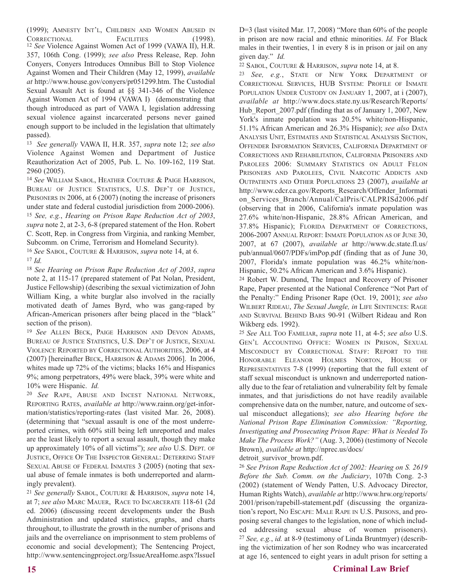(1999); AMNESTY INT'L, CHILDREN AND WOMEN ABUSED IN CORRECTIONAL FACILITIES (1998). <sup>12</sup> *See* Violence Against Women Act of 1999 (VAWA II), H.R. 357, 106th Cong. (1999); *see also* Press Release, Rep. John Conyers, Conyers Introduces Omnibus Bill to Stop Violence Against Women and Their Children (May 12, 1999), *available at* http://www.house.gov/conyers/pr051299.htm. The Custodial Sexual Assault Act is found at §§ 341-346 of the Violence Against Women Act of 1994 (VAWA I) (demonstrating that though introduced as part of VAWA I, legislation addressing sexual violence against incarcerated persons never gained enough support to be included in the legislation that ultimately passed).

<sup>13</sup> *See generally* VAWA II, H.R. 357, *supra* note 12; *see also* Violence Against Women and Department of Justice Reauthorization Act of 2005, Pub. L. No. 109-162, 119 Stat. 2960 (2005).

<sup>14</sup> *See* WILLIAM SABOL, HEATHER COUTURE & PAIGE HARRISON, BUREAU OF JUSTICE STATISTICS, U.S. DEP'T OF JUSTICE, PRISONERS IN 2006, at 6 (2007) (noting the increase of prisoners under state and federal custodial jurisdiction from 2000-2006). <sup>15</sup> *See, e.g.*, *Hearing on Prison Rape Reduction Act of 2003*, *supra* note 2, at 2-3, 6-8 (prepared statement of the Hon. Robert C. Scott, Rep. in Congress from Virginia, and ranking Member, Subcomm. on Crime, Terrorism and Homeland Security).

<sup>16</sup> *See* SABOL, COUTURE & HARRISON, *supra* note 14, at 6.  $17$  *Id.* 

<sup>18</sup> *See Hearing on Prison Rape Reduction Act of 2003*, *supra* note 2, at 115-17 (prepared statement of Pat Nolan, President, Justice Fellowship) (describing the sexual victimization of John William King, a white burglar also involved in the racially motivated death of James Byrd, who was gang-raped by African-American prisoners after being placed in the "black" section of the prison).

<sup>19</sup> *See* ALLEN BECK, PAIGE HARRISON AND DEVON ADAMS, BUREAU OF JUSTICE STATISTICS, U.S. DEP'T OF JUSTICE, SEXUAL VIOLENCE REPORTED BY CORRECTIONAL AUTHORITIES, 2006, at 4 (2007) [hereinafter BECK, HARRISON & ADAMS 2006]. In 2006, whites made up 72% of the victims; blacks 16% and Hispanics 9%; among perpetrators, 49% were black, 39% were white and 10% were Hispanic. *Id.* 

<sup>20</sup> *See* RAPE, ABUSE AND INCEST NATIONAL NETWORK, REPORTING RATES, *available at* http://www.rainn.org/get-information/statistics/reporting-rates (last visited Mar. 26, 2008). (determining that "sexual assault is one of the most underreported crimes, with 60% still being left unreported and males are the least likely to report a sexual assault, though they make up approximately 10% of all victims"); *see also* U.S. DEPT. OF JUSTICE, OFFICE OF THE INSPECTOR GENERAL: DETERRING STAFF SEXUAL ABUSE OF FEDERAL INMATES 3 (2005) (noting that sexual abuse of female inmates is both underreported and alarmingly prevalent).

<sup>21</sup> *See generally* SABOL, COUTURE & HARRISON, *supra* note 14, at 7; *see also* MARC MAUER, RACE TO INCARCERATE 118-61 (2d ed. 2006) (discussing recent developments under the Bush Administration and updated statistics, graphs, and charts throughout, to illustrate the growth in the number of prisons and jails and the overreliance on imprisonment to stem problems of economic and social development); The Sentencing Project, http://www.sentencingproject.org/IssueAreaHome.aspx?IssueI D=3 (last visited Mar. 17, 2008) "More than 60% of the people in prison are now racial and ethnic minorities. *Id.* For Black males in their twenties, 1 in every 8 is in prison or jail on any given day." *Id.*

<sup>22</sup> SABOL, COUTURE & HARRISON, *supra* note 14, at 8.

<sup>23</sup> *See, e.g.*, STATE OF NEW YORK DEPARTMENT OF CORRECTIONAL SERVICES, HUB SYSTEM: PROFILE OF INMATE POPULATION UNDER CUSTODY ON JANUARY 1, 2007, at i (2007), *available at* http://www.docs.state.ny.us/Research/Reports/ Hub Report 2007.pdf (finding that as of January 1, 2007, New York's inmate population was 20.5% white/non-Hispanic, 51.1% African American and 26.3% Hispanic); *see also* DATA ANALYSIS UNIT, ESTIMATES AND STATISTICAL ANALYSIS SECTION, OFFENDER INFORMATION SERVICES, CALIFORNIA DEPARTMENT OF CORRECTIONS AND REHABILITATION, CALIFORNIA PRISONERS AND PAROLEES 2006: SUMMARY STATISTICS ON ADULT FELON PRISONERS AND PAROLEES, CIVIL NARCOTIC ADDICTS AND OUTPATIENTS AND OTHER POPULATIONS 23 (2007), *available at* http://www.cdcr.ca.gov/Reports\_Research/Offender\_Informati on Services Branch/Annual/CalPris/CALPRISd2006.pdf (observing that in 2006, California's inmate population was 27.6% white/non-Hispanic, 28.8% African American, and 37.8% Hispanic); FLORIDA DEPARTMENT OF CORRECTIONS, 2006-2007 ANNUAL REPORT: INMATE POPULATION AS OF JUNE 30, 2007, at 67 (2007), *available at* http://www.dc.state.fl.us/ pub/annual/0607/PDFs/imPop.pdf (finding that as of June 30, 2007, Florida's inmate population was 46.2% white/non-Hispanic, 50.2% African American and 3.6% Hispanic).

<sup>24</sup> Robert W. Dumond, The Impact and Recovery of Prisoner Rape, Paper presented at the National Conference "Not Part of the Penalty:" Ending Prisoner Rape (Oct. 19, 2001); *see also* WILBERT RIDEAU, *The Sexual Jungle, in* LIFE SENTENCES: RAGE AND SURVIVAL BEHIND BARS 90-91 (Wilbert Rideau and Ron Wikberg eds. 1992).

<sup>25</sup> *See* ALL TOO FAMILIAR, *supra* note 11, at 4-5; *see also* U.S. GEN'L ACCOUNTING OFFICE: WOMEN IN PRISON, SEXUAL MISCONDUCT BY CORRECTIONAL STAFF: REPORT TO THE HONORABLE ELEANOR HOLMES NORTON, HOUSE OF REPRESENTATIVES 7-8 (1999) (reporting that the full extent of staff sexual misconduct is unknown and underreported nationally due to the fear of retaliation and vulnerability felt by female inmates, and that jurisdictions do not have readily available comprehensive data on the number, nature, and outcome of sexual misconduct allegations); *see also Hearing before the National Prison Rape Elimination Commission: "Reporting, Investigating and Prosecuting Prison Rape: What is Needed To Make The Process Work?"* (Aug. 3, 2006) (testimony of Necole Brown), *available at* http://nprec.us/docs/

detroit\_survivor\_brown.pdf.

<sup>26</sup> *See Prison Rape Reduction Act of 2002: Hearing on S. 2619 Before the Sub. Comm. on the Judiciary*, 107th Cong. 2-3 (2002) (statement of Wendy Patten, U.S. Advocacy Director, Human Rights Watch), *available at* http://www.hrw.org/reports/ 2001/prison/rapebill-statement.pdf (discussing the organization's report, NO ESCAPE: MALE RAPE IN U.S. PRISONS, and proposing several changes to the legislation, none of which included addressing sexual abuse of women prisoners). <sup>27</sup> *See, e.g.*, *id.* at 8-9 (testimony of Linda Bruntmyer) (describing the victimization of her son Rodney who was incarcerated at age 16, sentenced to eight years in adult prison for setting a

## **Criminal Law Brief**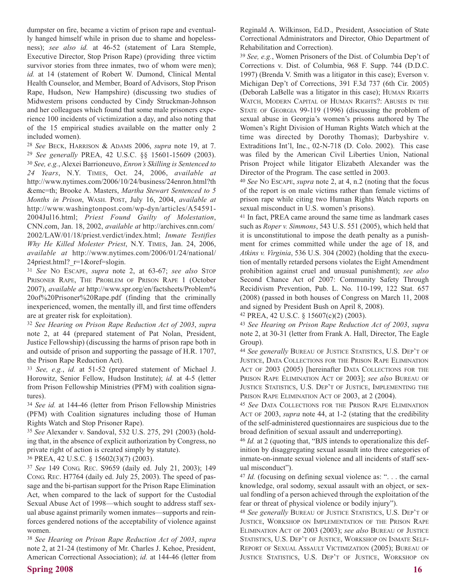dumpster on fire, became a victim of prison rape and eventually hanged himself while in prison due to shame and hopelessness); *see also id.* at 46-52 (statement of Lara Stemple, Executive Director, Stop Prison Rape) (providing three victim survivor stories from three inmates, two of whom were men); *id.* at 14 (statement of Robert W. Dumond, Clinical Mental Health Counselor, and Member, Board of Advisors, Stop Prison Rape, Hudson, New Hampshire) (discussing two studies of Midwestern prisons conducted by Cindy Struckman-Johnson and her colleagues which found that some male prisoners experience 100 incidents of victimization a day, and also noting that of the 15 empirical studies available on the matter only 2 included women).

<sup>28</sup> *See* BECK, HARRISON & ADAMS 2006, *supra* note 19, at 7. <sup>29</sup> *See generally* PREA, 42 U.S.C. §§ 15601-15609 (2003). <sup>30</sup> *See, e.g.*, Alexei Barrioneuvo, *Enron's Skilling is Sentenced to 24 Years*, N.Y. TIMES, Oct. 24, 2006, *available at* http://www.nytimes.com/2006/10/24/business/24enron.html?th &emc=th; Brooke A. Masters, *Martha Stewart Sentenced to 5 Months in Prison*, WASH. POST, July 16, 2004, *available at* http://www.washingtonpost.com/wp-dyn/articles/A54591- 2004Jul16.html; *Priest Found Guilty of Molestation*, CNN.com, Jan. 18, 2002, *available at* http://archives.cnn.com/ 2002/LAW/01/18/priest.verdict/index.html; *Inmate Testifies Why He Killed Molester Priest*, N.Y. TIMES, Jan. 24, 2006, *available at* http://www.nytimes.com/2006/01/24/national/ 24priest.html? $r=1$ &oref=slogin.

<sup>31</sup> *See* NO ESCAPE, *supra* note 2, at 63-67; *see also* STOP PRISONER RAPE, THE PROBLEM OF PRISON RAPE 1 (October 2007), *available at* http://www.spr.org/en/factsheets/Problem% 20of%20Prisoner%20Rape.pdf (finding that the criminally inexperienced, women, the mentally ill, and first time offenders are at greater risk for exploitation).

<sup>32</sup> *See Hearing on Prison Rape Reduction Act of 2003*, *supra* note 2, at 44 (prepared statement of Pat Nolan, President, Justice Fellowship) (discussing the harms of prison rape both in and outside of prison and supporting the passage of H.R. 1707, the Prison Rape Reduction Act).

<sup>33</sup> *See, e.g.*, *id.* at 51-52 (prepared statement of Michael J. Horowitz, Senior Fellow, Hudson Institute); *id.* at 4-5 (letter from Prison Fellowship Ministries (PFM) with coalition signatures).

<sup>34</sup> *See id.* at 144-46 (letter from Prison Fellowship Ministries (PFM) with Coalition signatures including those of Human Rights Watch and Stop Prisoner Rape).

<sup>35</sup> *See* Alexander v. Sandoval, 532 U.S. 275, 291 (2003) (holding that, in the absence of explicit authorization by Congress, no private right of action is created simply by statute).

<sup>36</sup> PREA, 42 U.S.C. § 15602(3)(7) (2003).

<sup>37</sup> *See* 149 CONG. REC. S9659 (daily ed. July 21, 2003); 149 CONG. REC. H7764 (daily ed. July 25, 2003). The speed of passage and the bi-partisan support for the Prison Rape Elimination Act, when compared to the lack of support for the Custodial Sexual Abuse Act of 1998—which sought to address staff sexual abuse against primarily women inmates—supports and reinforces gendered notions of the acceptability of violence against women.

<sup>38</sup> *See Hearing on Prison Rape Reduction Act of 2003*, *supra* note 2, at 21-24 (testimony of Mr. Charles J. Kehoe, President, American Correctional Association); *id.* at 144-46 (letter from Reginald A. Wilkinson, Ed.D., President, Association of State Correctional Administrators and Director, Ohio Department of Rehabilitation and Correction).

<sup>39</sup> *See, e.g.*, Women Prisoners of the Dist. of Columbia Dep't of Corrections v. Dist. of Columbia, 968 F. Supp. 744 (D.D.C. 1997) (Brenda V. Smith was a litigator in this case); Everson v. Michigan Dep't of Corrections, 391 F.3d 737 (6th Cir. 2005) (Deborah LaBelle was a litigator in this case); HUMAN RIGHTS WATCH, MODERN CAPITAL OF HUMAN RIGHTS?: ABUSES IN THE STATE OF GEORGIA 99-119 (1996) (discussing the problem of sexual abuse in Georgia's women's prisons authored by The Women's Right Division of Human Rights Watch which at the time was directed by Dorothy Thomas); Darbyshire v. Extraditions Int'l, Inc., 02-N-718 (D. Colo. 2002). This case was filed by the American Civil Liberties Union, National Prison Project while litigator Elizabeth Alexander was the Director of the Program. The case settled in 2003.

<sup>40</sup> *See* NO ESCAPE, *supra* note 2, at 4, n.2 (noting that the focus of the report is on male victims rather than female victims of prison rape while citing two Human Rights Watch reports on sexual misconduct in U.S. women's prisons).

<sup>41</sup> In fact, PREA came around the same time as landmark cases such as *Roper v. Simmons*, 543 U.S. 551 (2005), which held that it is unconstitutional to impose the death penalty as a punishment for crimes committed while under the age of 18, and *Atkins v. Virginia*, 536 U.S. 304 (2002) (holding that the execution of mentally retarded persons violates the Eight Amendment prohibition against cruel and unusual punishment); *see also* Second Chance Act of 2007: Community Safety Through Recidivism Prevention, Pub. L. No. 110-199, 122 Stat. 657 (2008) (passed in both houses of Congress on March 11, 2008 and signed by President Bush on April 8, 2008).

<sup>42</sup> PREA, 42 U.S.C. § 15607(c)(2) (2003).

<sup>43</sup> *See Hearing on Prison Rape Reduction Act of 2003*, *supra* note 2, at 30-31 (letter from Frank A. Hall, Director, The Eagle Group).

<sup>44</sup> *See generally* BUREAU OF JUSTICE STATISTICS, U.S. DEP'T OF JUSTICE, DATA COLLECTIONS FOR THE PRISON RAPE ELIMINATION ACT OF 2003 (2005) [hereinafter DATA COLLECTIONS FOR THE PRISON RAPE ELIMINATION ACT OF 2003]; *see also* BUREAU OF JUSTICE STATISTICS, U.S. DEP'T OF JUSTICE, IMPLEMENTING THE PRISON RAPE ELIMINATION ACT OF 2003, at 2 (2004).

<sup>45</sup> *See* DATA COLLECTIONS FOR THE PRISON RAPE ELIMINATION ACT OF 2003, *supra* note 44, at 1-2 (stating that the credibility of the self-administered questionnaires are suspicious due to the broad definition of sexual assault and underreporting).

<sup>46</sup> *Id.* at 2 (quoting that, "BJS intends to operationalize this definition by disaggregating sexual assault into three categories of inmate-on-inmate sexual violence and all incidents of staff sexual misconduct").

<sup>47</sup> *Id.* (focusing on defining sexual violence as: ". . . the carnal knowledge, oral sodomy, sexual assault with an object, or sexual fondling of a person achieved through the exploitation of the fear or threat of physical violence or bodily injury").

<sup>48</sup> *See generally* BUREAU OF JUSTICE STATISTICS, U.S. DEP'T OF JUSTICE, WORKSHOP ON IMPLEMENTATION OF THE PRISON RAPE ELIMINATION ACT OF 2003 (2003); *see also* BUREAU OF JUSTICE STATISTICS, U.S. DEP'T OF JUSTICE, WORKSHOP ON INMATE SELF-REPORT OF SEXUAL ASSAULT VICTIMIZATION (2005); BUREAU OF JUSTICE STATISTICS, U.S. DEP'T OF JUSTICE, WORKSHOP ON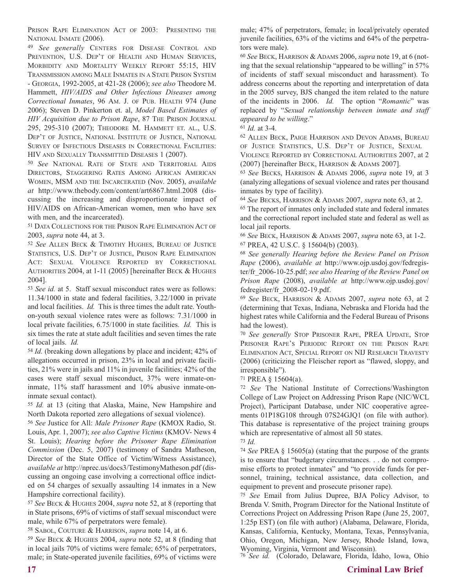PRISON RAPE ELIMINATION ACT OF 2003: PRESENTING THE NATIONAL INMATE (2006).

<sup>49</sup> *See generally* CENTERS FOR DISEASE CONTROL AND PREVENTION, U.S. DEP'T OF HEALTH AND HUMAN SERVICES, MORBIDITY AND MORTALITY WEEKLY REPORT 55:15, HIV TRANSMISSION AMONG MALE INMATES IN A STATE PRISON SYSTEM - GEORGIA, 1992-2005, at 421-28 (2006); *see also* Theodore M. Hammett, *HIV/AIDS and Other Infectious Diseases among Correctional Inmates*, 96 AM. J. OF PUB. HEALTH 974 (June 2006); Steven D. Pinkerton et. al, *Model Based Estimates of HIV Acquisition due to Prison Rape*, 87 THE PRISON JOURNAL 295, 295-310 (2007); THEODORE M. HAMMETT ET. AL., U.S. DEP'T OF JUSTICE, NATIONAL INSTITUTE OF JUSTICE, NATIONAL SURVEY OF INFECTIOUS DISEASES IN CORRECTIONAL FACILITIES: HIV AND SEXUALLY TRANSMITTED DISEASES 1 (2007).

<sup>50</sup> *See* NATIONAL RATE OF STATE AND TERRITORIAL AIDS DIRECTORS, STAGGERING RATES AMONG AFRICAN AMERICAN WOMEN, MSM AND THE INCARCERATED (Nov. 2005), *available at* http://www.thebody.com/content/art6867.html.2008 (discussing the increasing and disproportionate impact of HIV/AIDS on African-American women, men who have sex with men, and the incarcerated).

<sup>51</sup> DATA COLLECTIONS FOR THE PRISON RAPE ELIMINATION ACT OF 2003, *supra* note 44, at 3.

<sup>52</sup> *See* ALLEN BECK & TIMOTHY HUGHES, BUREAU OF JUSTICE STATISTICS, U.S. DEP'T OF JUSTICE, PRISON RAPE ELIMINATION ACT: SEXUAL VIOLENCE REPORTED BY CORRECTIONAL AUTHORITIES 2004, at 1-11 (2005) [hereinafter BECK & HUGHES 2004].

<sup>53</sup> *See id.* at 5. Staff sexual misconduct rates were as follows: 11.34/1000 in state and federal facilities, 3.22/1000 in private and local facilities. *Id.* This is three times the adult rate. Youthon-youth sexual violence rates were as follows: 7.31/1000 in local private facilities, 6.75/1000 in state facilities. *Id.* This is six times the rate at state adult facilities and seven times the rate of local jails. *Id.* 

<sup>54</sup> *Id.* (breaking down allegations by place and incident; 42% of allegations occurred in prison, 23% in local and private facilities, 21% were in jails and 11% in juvenile facilities; 42% of the cases were staff sexual misconduct, 37% were inmate-oninmate, 11% staff harassment and 10% abusive inmate-oninmate sexual contact).

<sup>55</sup> *Id.* at 13 (citing that Alaska, Maine, New Hampshire and North Dakota reported zero allegations of sexual violence).

<sup>56</sup> *See* Justice for All: *Male Prisoner Rape* (KMOX Radio, St. Louis, Apr. 1, 2007); *see also Captive Victims* (KMOV- News 4 St. Louis); *Hearing before the Prisoner Rape Elimination Commission* (Dec. 5, 2007) (testimony of Sandra Matheson, Director of the State Office of Victim/Witness Assistance), *available at* http://nprec.us/docs3/TestimonyMatheson.pdf (discussing an ongoing case involving a correctional office indicted on 54 charges of sexually assaulting 14 inmates in a New Hampshire correctional facility).

<sup>57</sup> *See* BECK & HUGHES 2004, *supra* note 52, at 8 (reporting that in State prisons, 69% of victims of staff sexual misconduct were male, while 67% of perpetrators were female).

<sup>58</sup> SABOL, COUTURE & HARRISON, *supra* note 14, at 6.

<sup>59</sup> *See* BECK & HUGHES 2004, *supra* note 52, at 8 (finding that in local jails 70% of victims were female; 65% of perpetrators, male; in State-operated juvenile facilities, 69% of victims were

male; 47% of perpetrators, female; in local/privately operated juvenile facilities, 63% of the victims and 64% of the perpetrators were male).

<sup>60</sup> *See* BECK, HARRISON & ADAMS 2006, *supra* note 19, at 6 (noting that the sexual relationship "appeared to be willing" in 57% of incidents of staff sexual misconduct and harassment). To address concerns about the reporting and interpretation of data in the 2005 survey, BJS changed the item related to the nature of the incidents in 2006. *Id.* The option "*Romantic*" was replaced by "*Sexual relationship between inmate and staff appeared to be willing*."

<sup>61</sup> *Id.* at 3-4.

<sup>62</sup> ALLEN BECK, PAIGE HARRISON AND DEVON ADAMS, BUREAU OF JUSTICE STATISTICS, U.S. DEP'T OF JUSTICE, SEXUAL VIOLENCE REPORTED BY CORRECTIONAL AUTHORITIES 2007, at 2 (2007) [hereinafter BECK, HARRISON & ADAMS 2007].

<sup>63</sup> *See* BECKS, HARRISON & ADAMS 2006, *supra* note 19, at 3 (analyzing allegations of sexual violence and rates per thousand inmates by type of facility).

<sup>64</sup> *See* BECKS, HARRISON & ADAMS 2007, *supra* note 63, at 2.

<sup>65</sup> The report of inmates only included state and federal inmates and the correctional report included state and federal as well as local jail reports.

<sup>66</sup> *See* BECK, HARRISON & ADAMS 2007, *supra* note 63, at 1-2. <sup>67</sup> PREA, 42 U.S.C. § 15604(b) (2003).

<sup>68</sup> *See generally Hearing before the Review Panel on Prison Rape* (2006), *available at* http://www.ojp.usdoj.gov/fedregister/fr\_2006-10-25.pdf; *see also Hearing of the Review Panel on Prison Rape* (2008), *available at* http://www.ojp.usdoj.gov/ fedregister/fr\_2008-02-19.pdf.

<sup>69</sup> *See* BECK, HARRISON & ADAMS 2007, *supra* note 63, at 2 (determining that Texas, Indiana, Nebraska and Florida had the highest rates while California and the Federal Bureau of Prisons had the lowest).

<sup>70</sup> *See generally* STOP PRISONER RAPE, PREA UPDATE, STOP PRISONER RAPE'S PERIODIC REPORT ON THE PRISON RAPE ELIMINATION ACT, SPECIAL REPORT ON NIJ RESEARCH TRAVESTY (2006) (criticizing the Fleischer report as "flawed, sloppy, and irresponsible").

<sup>71</sup> PREA § 15604(a).

<sup>72</sup> *See* The National Institute of Corrections/Washington College of Law Project on Addressing Prison Rape (NIC/WCL Project), Participant Database, under NIC cooperative agreements 01P18G108 through 07S24GJQ1 (on file with author). This database is representative of the project training groups which are representative of almost all 50 states.

<sup>73</sup> *Id.* 

<sup>74</sup> *See* PREA § 15605(a) (stating that the purpose of the grants is to ensure that "budgetary circumstances. . . do not compromise efforts to protect inmates" and "to provide funds for personnel, training, technical assistance, data collection, and equipment to prevent and prosecute prisoner rape).

<sup>75</sup> *See* Email from Julius Dupree, BJA Policy Advisor, to Brenda V. Smith, Program Director for the National Institute of Corrections Project on Addressing Prison Rape (June 25, 2007, 1:25p EST) (on file with author) (Alabama, Delaware, Florida, Kansas, California, Kentucky, Montana, Texas, Pennsylvania, Ohio, Oregon, Michigan, New Jersey, Rhode Island, Iowa, Wyoming, Virginia, Vermont and Wisconsin).

<sup>76</sup> *See id.* (Colorado, Delaware, Florida, Idaho, Iowa, Ohio